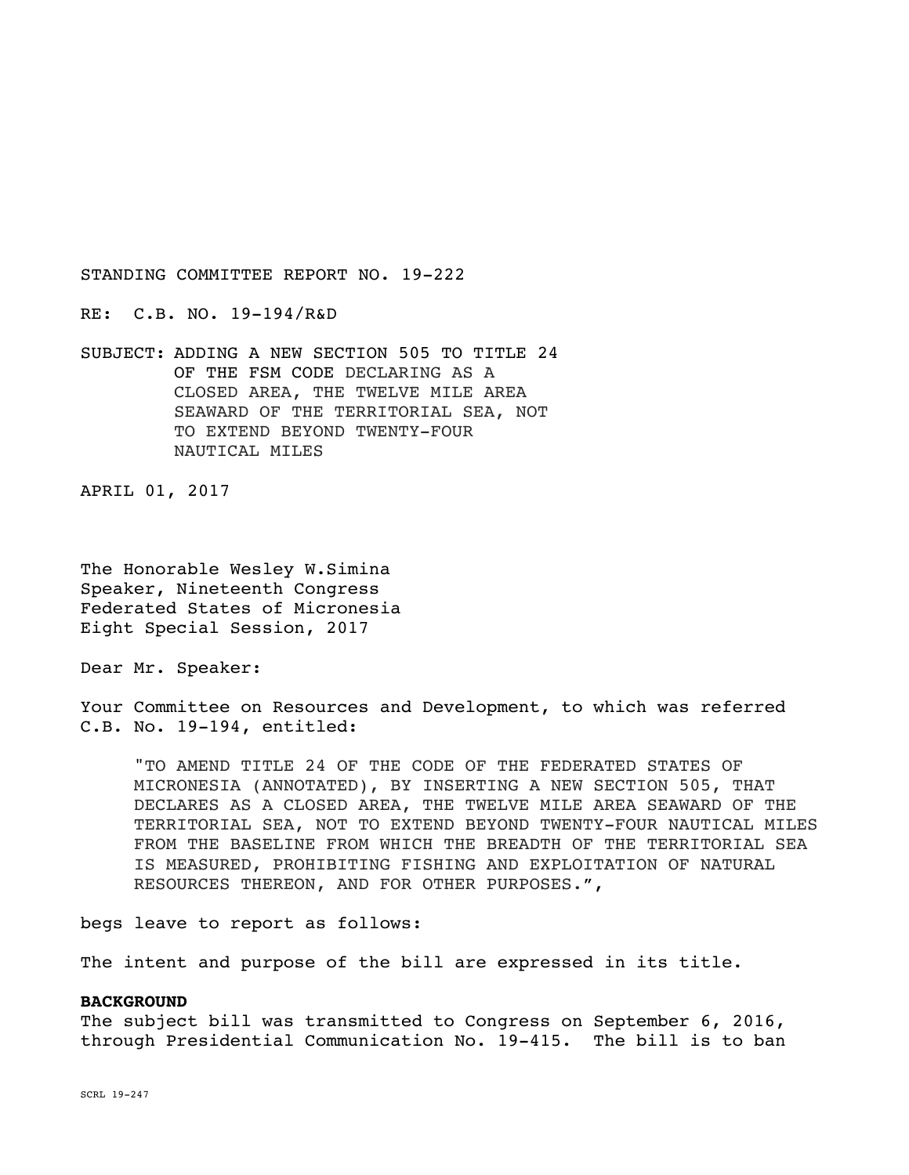RE: C.B. NO. 19-194/R&D

SUBJECT: ADDING A NEW SECTION 505 TO TITLE 24 OF THE FSM CODE DECLARING AS A CLOSED AREA, THE TWELVE MILE AREA SEAWARD OF THE TERRITORIAL SEA, NOT TO EXTEND BEYOND TWENTY-FOUR NAUTICAL MILES

APRIL 01, 2017

The Honorable Wesley W.Simina Speaker, Nineteenth Congress Federated States of Micronesia Eight Special Session, 2017

Dear Mr. Speaker:

Your Committee on Resources and Development, to which was referred C.B. No. 19-194, entitled:

"TO AMEND TITLE 24 OF THE CODE OF THE FEDERATED STATES OF MICRONESIA (ANNOTATED), BY INSERTING A NEW SECTION 505, THAT DECLARES AS A CLOSED AREA, THE TWELVE MILE AREA SEAWARD OF THE TERRITORIAL SEA, NOT TO EXTEND BEYOND TWENTY-FOUR NAUTICAL MILES FROM THE BASELINE FROM WHICH THE BREADTH OF THE TERRITORIAL SEA IS MEASURED, PROHIBITING FISHING AND EXPLOITATION OF NATURAL RESOURCES THEREON, AND FOR OTHER PURPOSES.",

begs leave to report as follows:

The intent and purpose of the bill are expressed in its title.

## **BACKGROUND**

The subject bill was transmitted to Congress on September 6, 2016, through Presidential Communication No. 19-415. The bill is to ban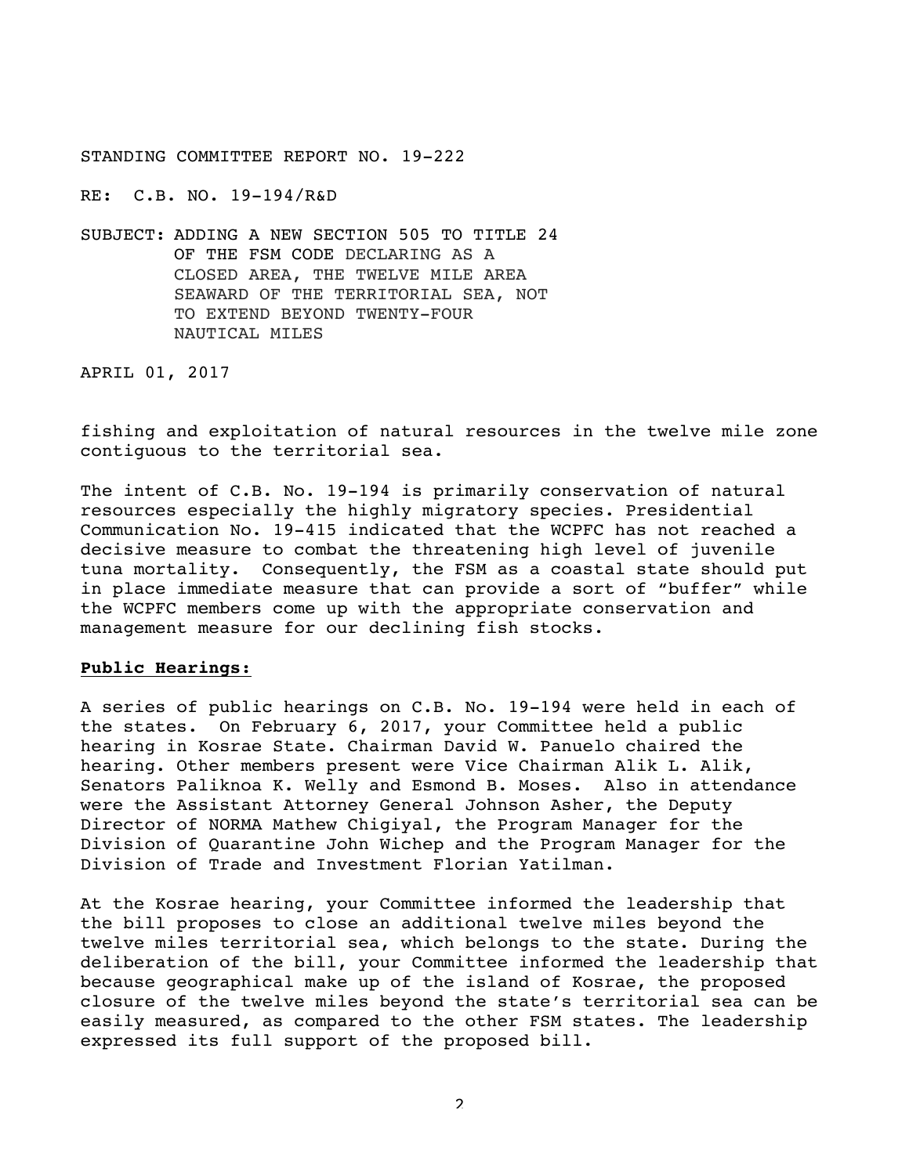RE: C.B. NO. 19-194/R&D

SUBJECT: ADDING A NEW SECTION 505 TO TITLE 24 OF THE FSM CODE DECLARING AS A CLOSED AREA, THE TWELVE MILE AREA SEAWARD OF THE TERRITORIAL SEA, NOT TO EXTEND BEYOND TWENTY-FOUR NAUTICAL MILES

APRIL 01, 2017

fishing and exploitation of natural resources in the twelve mile zone contiguous to the territorial sea.

The intent of C.B. No. 19-194 is primarily conservation of natural resources especially the highly migratory species. Presidential Communication No. 19-415 indicated that the WCPFC has not reached a decisive measure to combat the threatening high level of juvenile tuna mortality. Consequently, the FSM as a coastal state should put in place immediate measure that can provide a sort of "buffer" while the WCPFC members come up with the appropriate conservation and management measure for our declining fish stocks.

## **Public Hearings:**

A series of public hearings on C.B. No. 19-194 were held in each of the states. On February 6, 2017, your Committee held a public hearing in Kosrae State. Chairman David W. Panuelo chaired the hearing. Other members present were Vice Chairman Alik L. Alik, Senators Paliknoa K. Welly and Esmond B. Moses. Also in attendance were the Assistant Attorney General Johnson Asher, the Deputy Director of NORMA Mathew Chigiyal, the Program Manager for the Division of Quarantine John Wichep and the Program Manager for the Division of Trade and Investment Florian Yatilman.

At the Kosrae hearing, your Committee informed the leadership that the bill proposes to close an additional twelve miles beyond the twelve miles territorial sea, which belongs to the state. During the deliberation of the bill, your Committee informed the leadership that because geographical make up of the island of Kosrae, the proposed closure of the twelve miles beyond the state's territorial sea can be easily measured, as compared to the other FSM states. The leadership expressed its full support of the proposed bill.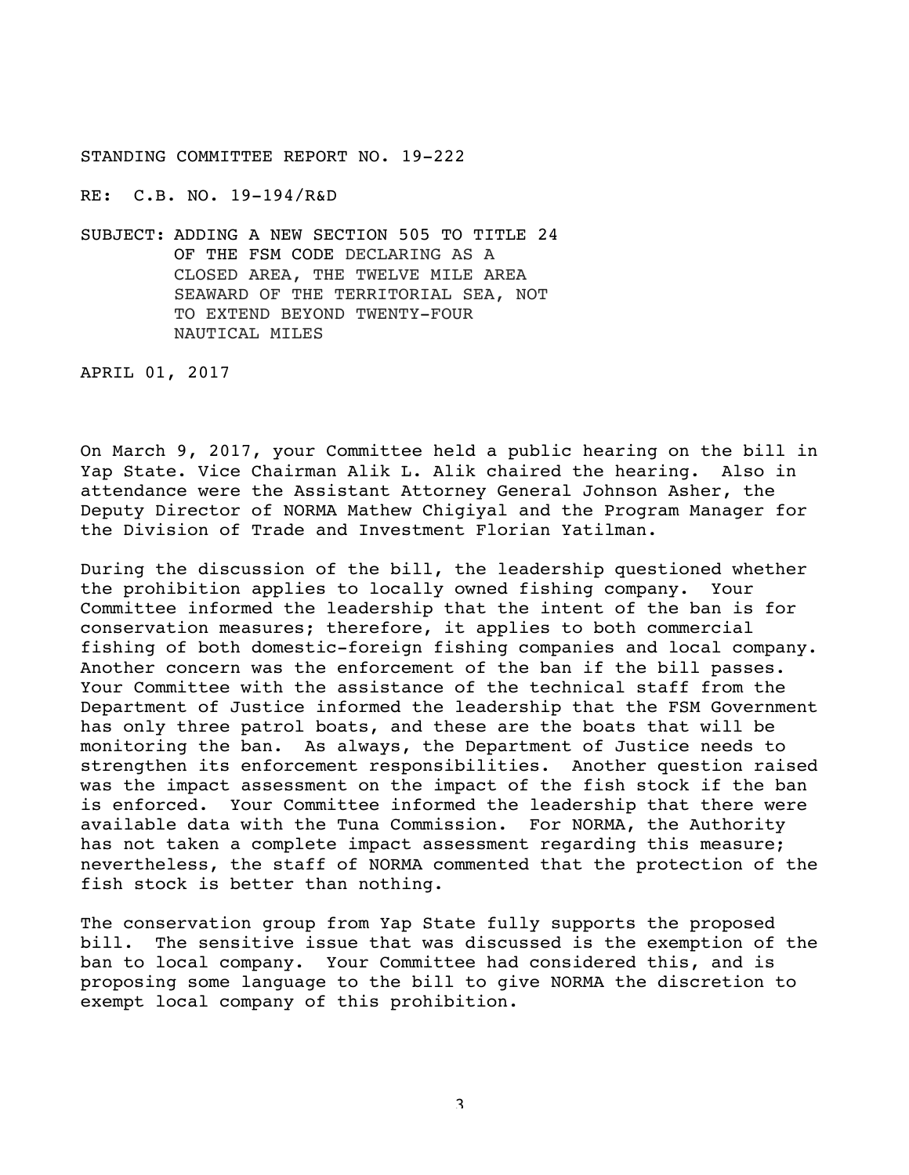RE: C.B. NO. 19-194/R&D

SUBJECT: ADDING A NEW SECTION 505 TO TITLE 24 OF THE FSM CODE DECLARING AS A CLOSED AREA, THE TWELVE MILE AREA SEAWARD OF THE TERRITORIAL SEA, NOT TO EXTEND BEYOND TWENTY-FOUR NAUTICAL MILES

APRIL 01, 2017

On March 9, 2017, your Committee held a public hearing on the bill in Yap State. Vice Chairman Alik L. Alik chaired the hearing. Also in attendance were the Assistant Attorney General Johnson Asher, the Deputy Director of NORMA Mathew Chigiyal and the Program Manager for the Division of Trade and Investment Florian Yatilman.

During the discussion of the bill, the leadership questioned whether the prohibition applies to locally owned fishing company. Your Committee informed the leadership that the intent of the ban is for conservation measures; therefore, it applies to both commercial fishing of both domestic-foreign fishing companies and local company. Another concern was the enforcement of the ban if the bill passes. Your Committee with the assistance of the technical staff from the Department of Justice informed the leadership that the FSM Government has only three patrol boats, and these are the boats that will be monitoring the ban. As always, the Department of Justice needs to strengthen its enforcement responsibilities. Another question raised was the impact assessment on the impact of the fish stock if the ban is enforced. Your Committee informed the leadership that there were available data with the Tuna Commission. For NORMA, the Authority has not taken a complete impact assessment regarding this measure; nevertheless, the staff of NORMA commented that the protection of the fish stock is better than nothing.

The conservation group from Yap State fully supports the proposed bill. The sensitive issue that was discussed is the exemption of the ban to local company. Your Committee had considered this, and is proposing some language to the bill to give NORMA the discretion to exempt local company of this prohibition.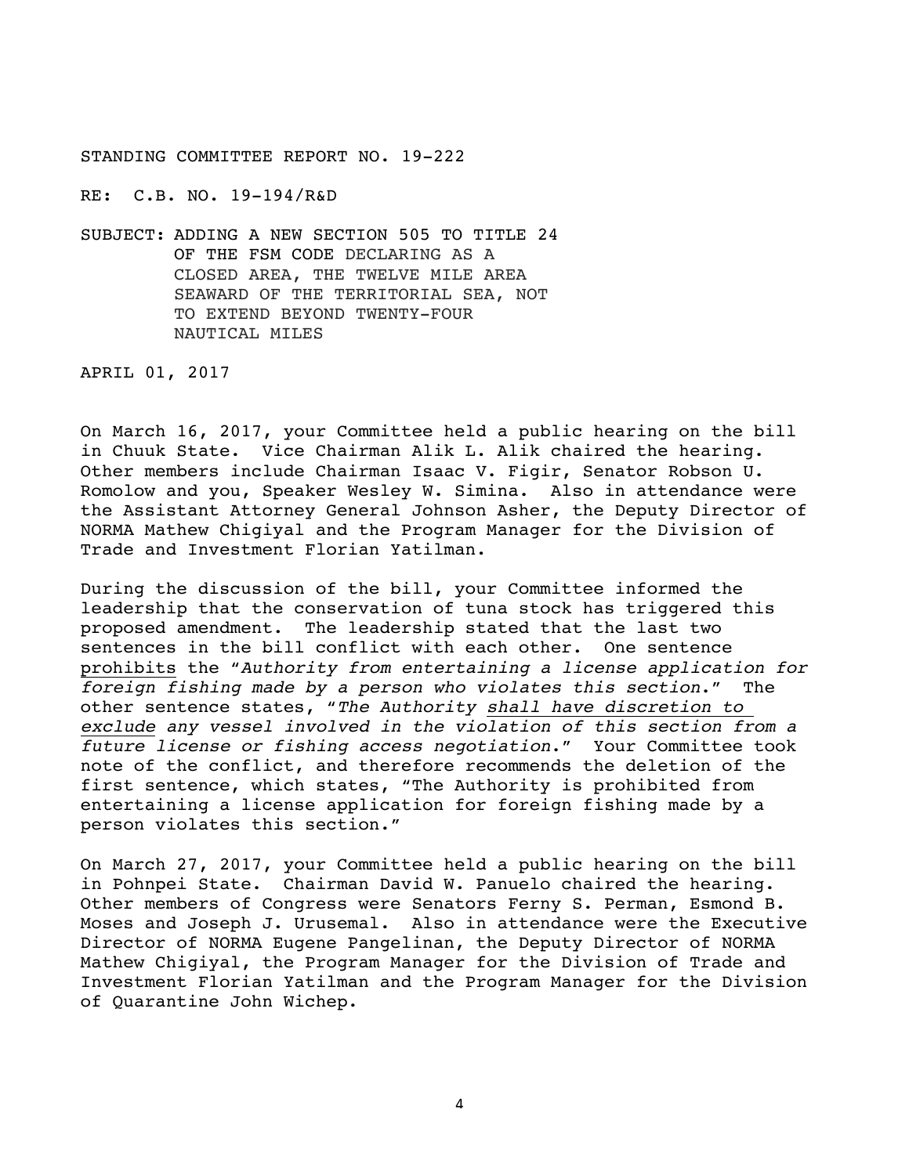RE: C.B. NO. 19-194/R&D

SUBJECT: ADDING A NEW SECTION 505 TO TITLE 24 OF THE FSM CODE DECLARING AS A CLOSED AREA, THE TWELVE MILE AREA SEAWARD OF THE TERRITORIAL SEA, NOT TO EXTEND BEYOND TWENTY-FOUR NAUTICAL MILES

APRIL 01, 2017

On March 16, 2017, your Committee held a public hearing on the bill in Chuuk State. Vice Chairman Alik L. Alik chaired the hearing. Other members include Chairman Isaac V. Figir, Senator Robson U. Romolow and you, Speaker Wesley W. Simina. Also in attendance were the Assistant Attorney General Johnson Asher, the Deputy Director of NORMA Mathew Chigiyal and the Program Manager for the Division of Trade and Investment Florian Yatilman.

During the discussion of the bill, your Committee informed the leadership that the conservation of tuna stock has triggered this proposed amendment. The leadership stated that the last two sentences in the bill conflict with each other. One sentence prohibits the "*Authority from entertaining a license application for foreign fishing made by a person who violates this section*." The other sentence states, "*The Authority shall have discretion to exclude any vessel involved in the violation of this section from a future license or fishing access negotiation*." Your Committee took note of the conflict, and therefore recommends the deletion of the first sentence, which states, "The Authority is prohibited from entertaining a license application for foreign fishing made by a person violates this section."

On March 27, 2017, your Committee held a public hearing on the bill in Pohnpei State. Chairman David W. Panuelo chaired the hearing. Other members of Congress were Senators Ferny S. Perman, Esmond B. Moses and Joseph J. Urusemal. Also in attendance were the Executive Director of NORMA Eugene Pangelinan, the Deputy Director of NORMA Mathew Chigiyal, the Program Manager for the Division of Trade and Investment Florian Yatilman and the Program Manager for the Division of Quarantine John Wichep.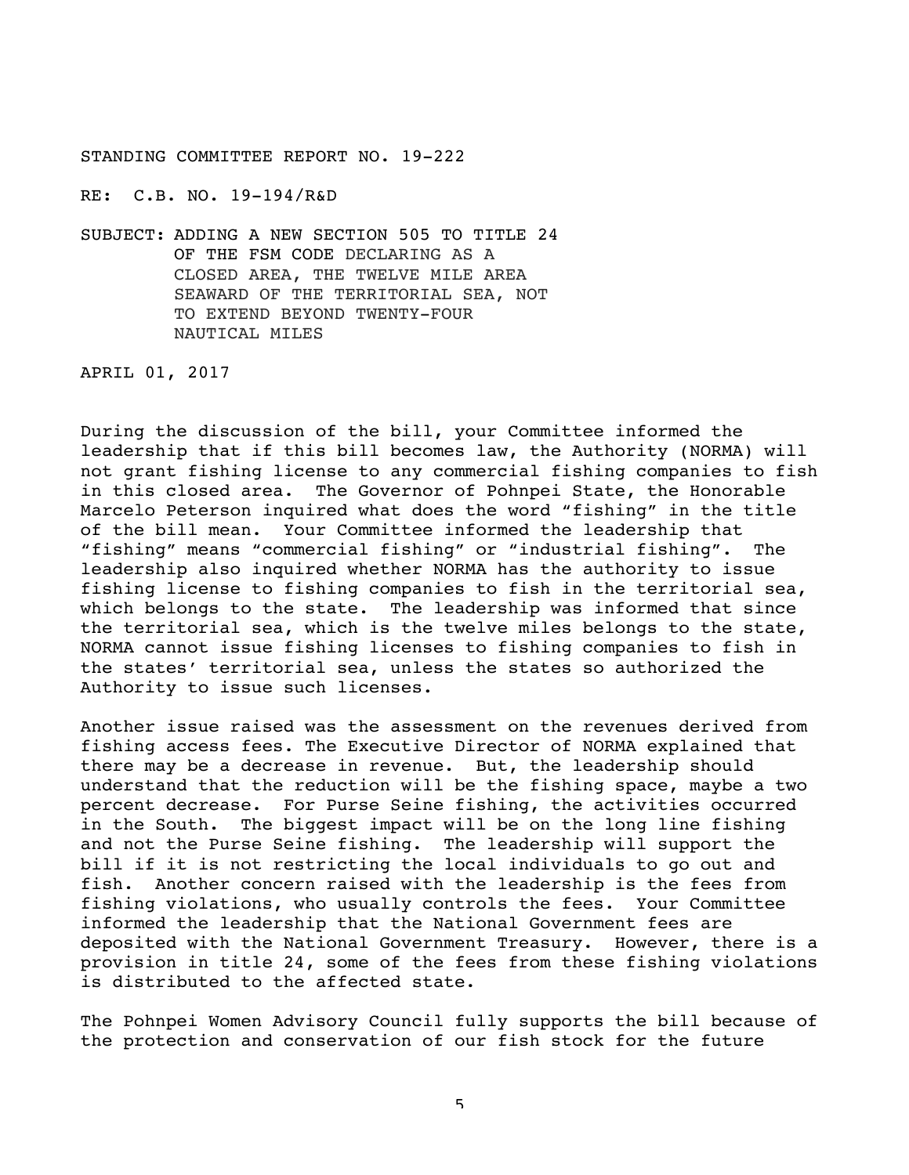RE: C.B. NO. 19-194/R&D

SUBJECT: ADDING A NEW SECTION 505 TO TITLE 24 OF THE FSM CODE DECLARING AS A CLOSED AREA, THE TWELVE MILE AREA SEAWARD OF THE TERRITORIAL SEA, NOT TO EXTEND BEYOND TWENTY-FOUR NAUTICAL MILES

APRIL 01, 2017

During the discussion of the bill, your Committee informed the leadership that if this bill becomes law, the Authority (NORMA) will not grant fishing license to any commercial fishing companies to fish in this closed area. The Governor of Pohnpei State, the Honorable Marcelo Peterson inquired what does the word "fishing" in the title of the bill mean. Your Committee informed the leadership that "fishing" means "commercial fishing" or "industrial fishing". The leadership also inquired whether NORMA has the authority to issue fishing license to fishing companies to fish in the territorial sea, which belongs to the state. The leadership was informed that since the territorial sea, which is the twelve miles belongs to the state, NORMA cannot issue fishing licenses to fishing companies to fish in the states' territorial sea, unless the states so authorized the Authority to issue such licenses.

Another issue raised was the assessment on the revenues derived from fishing access fees. The Executive Director of NORMA explained that there may be a decrease in revenue. But, the leadership should understand that the reduction will be the fishing space, maybe a two percent decrease. For Purse Seine fishing, the activities occurred in the South. The biggest impact will be on the long line fishing and not the Purse Seine fishing. The leadership will support the bill if it is not restricting the local individuals to go out and fish. Another concern raised with the leadership is the fees from fishing violations, who usually controls the fees. Your Committee informed the leadership that the National Government fees are deposited with the National Government Treasury. However, there is a provision in title 24, some of the fees from these fishing violations is distributed to the affected state.

The Pohnpei Women Advisory Council fully supports the bill because of the protection and conservation of our fish stock for the future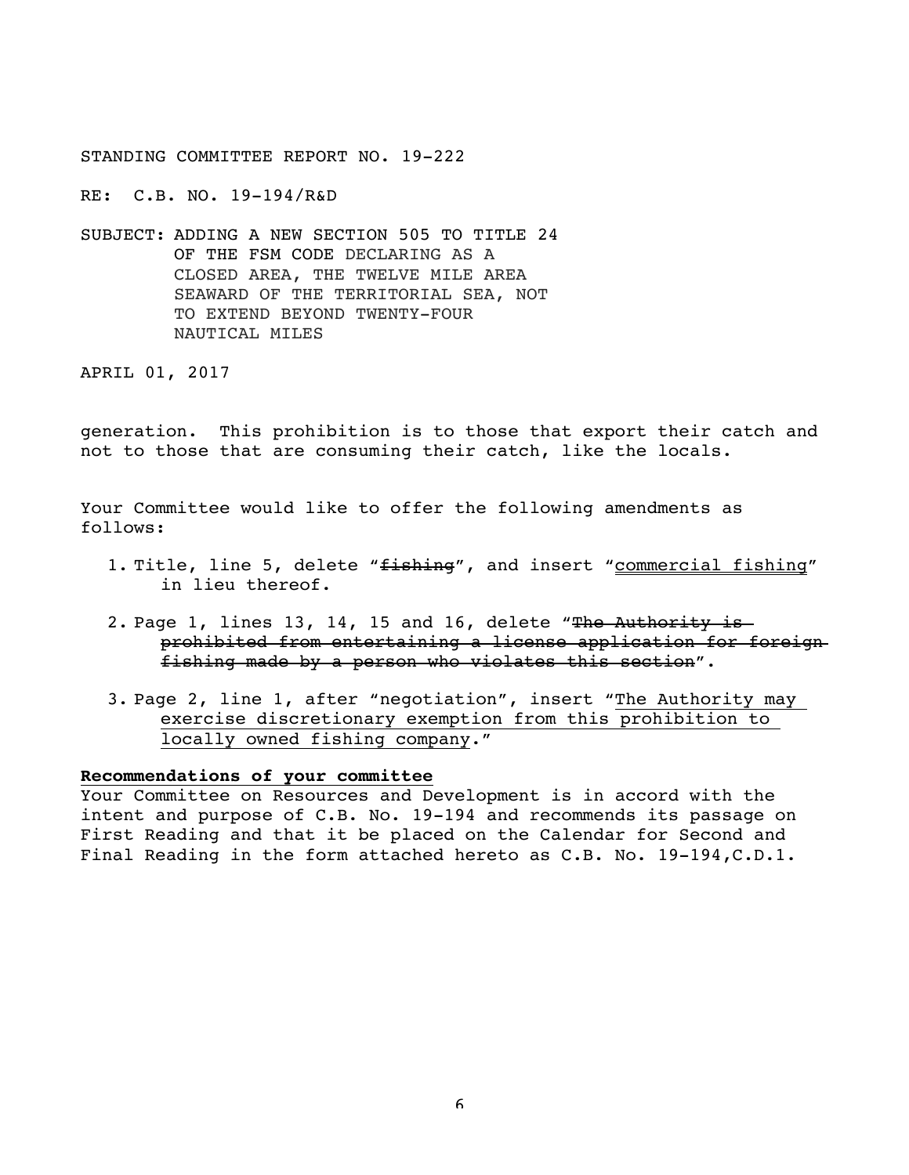RE: C.B. NO. 19-194/R&D

SUBJECT: ADDING A NEW SECTION 505 TO TITLE 24 OF THE FSM CODE DECLARING AS A CLOSED AREA, THE TWELVE MILE AREA SEAWARD OF THE TERRITORIAL SEA, NOT TO EXTEND BEYOND TWENTY-FOUR NAUTICAL MILES

APRIL 01, 2017

generation. This prohibition is to those that export their catch and not to those that are consuming their catch, like the locals.

Your Committee would like to offer the following amendments as follows:

- 1. Title, line 5, delete "fishing", and insert "commercial fishing" in lieu thereof.
- 2. Page 1, lines 13, 14, 15 and 16, delete "The Authority is prohibited from entertaining a license application for foreign fishing made by a person who violates this section".
- 3. Page 2, line 1, after "negotiation", insert "The Authority may exercise discretionary exemption from this prohibition to locally owned fishing company."

## **Recommendations of your committee**

Your Committee on Resources and Development is in accord with the intent and purpose of C.B. No. 19-194 and recommends its passage on First Reading and that it be placed on the Calendar for Second and Final Reading in the form attached hereto as C.B. No. 19-194,C.D.1.